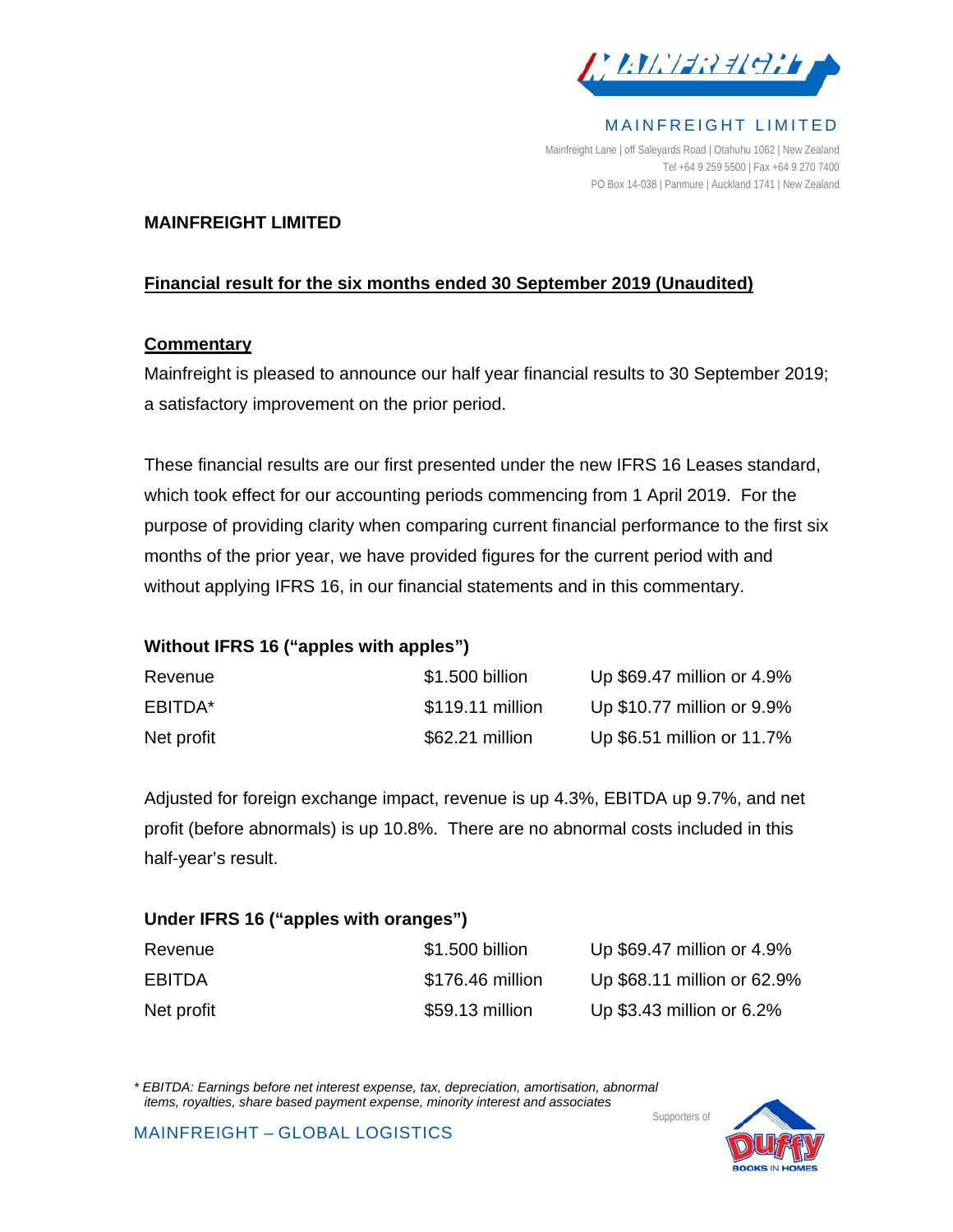

MAINFREIGHT LIMITED

Mainfreight Lane | off Saleyards Road | Otahuhu 1062 | New Zealand Tel +64 9 259 5500 | Fax +64 9 270 7400 PO Box 14-038 | Panmure | Auckland 1741 | New Zealand

#### **MAINFREIGHT LIMITED**

### **Financial result for the six months ended 30 September 2019 (Unaudited)**

#### **Commentary**

Mainfreight is pleased to announce our half year financial results to 30 September 2019; a satisfactory improvement on the prior period.

These financial results are our first presented under the new IFRS 16 Leases standard, which took effect for our accounting periods commencing from 1 April 2019. For the purpose of providing clarity when comparing current financial performance to the first six months of the prior year, we have provided figures for the current period with and without applying IFRS 16, in our financial statements and in this commentary.

## **Without IFRS 16 ("apples with apples")**

| Revenue    | \$1.500 billion  | Up \$69.47 million or 4.9% |
|------------|------------------|----------------------------|
| EBITDA*    | \$119.11 million | Up \$10.77 million or 9.9% |
| Net profit | \$62.21 million  | Up \$6.51 million or 11.7% |

Adjusted for foreign exchange impact, revenue is up 4.3%, EBITDA up 9.7%, and net profit (before abnormals) is up 10.8%. There are no abnormal costs included in this half-year's result.

#### **Under IFRS 16 ("apples with oranges")**

| Revenue       | \$1.500 billion  | Up \$69.47 million or 4.9%  |
|---------------|------------------|-----------------------------|
| <b>EBITDA</b> | \$176.46 million | Up \$68.11 million or 62.9% |
| Net profit    | \$59.13 million  | Up \$3.43 million or 6.2%   |

*\* EBITDA: Earnings before net interest expense, tax, depreciation, amortisation, abnormal items, royalties, share based payment expense, minority interest and associates*  Supporters of

MAINFREIGHT – GLOBAL LOGISTICS

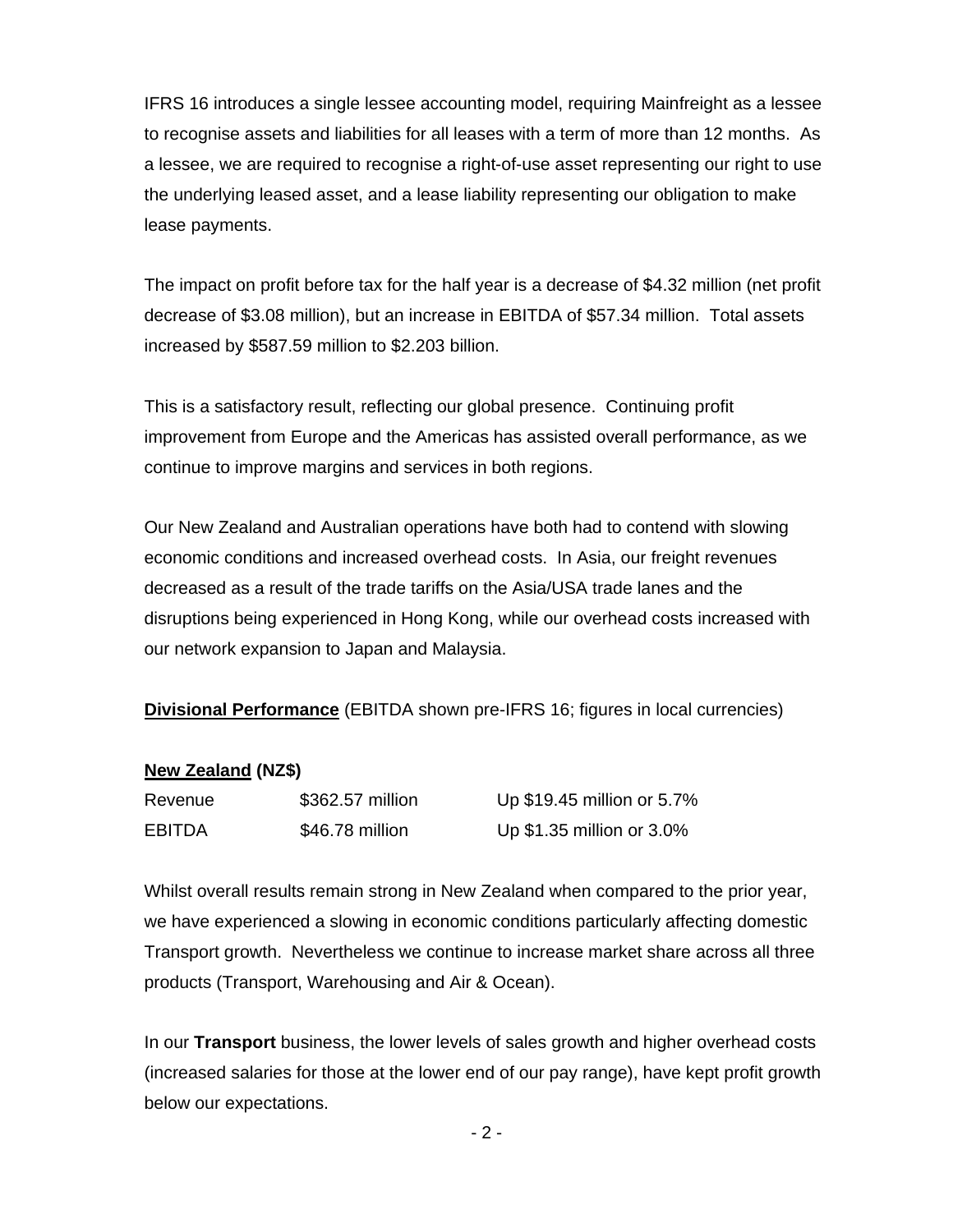IFRS 16 introduces a single lessee accounting model, requiring Mainfreight as a lessee to recognise assets and liabilities for all leases with a term of more than 12 months. As a lessee, we are required to recognise a right-of-use asset representing our right to use the underlying leased asset, and a lease liability representing our obligation to make lease payments.

The impact on profit before tax for the half year is a decrease of \$4.32 million (net profit decrease of \$3.08 million), but an increase in EBITDA of \$57.34 million. Total assets increased by \$587.59 million to \$2.203 billion.

This is a satisfactory result, reflecting our global presence. Continuing profit improvement from Europe and the Americas has assisted overall performance, as we continue to improve margins and services in both regions.

Our New Zealand and Australian operations have both had to contend with slowing economic conditions and increased overhead costs. In Asia, our freight revenues decreased as a result of the trade tariffs on the Asia/USA trade lanes and the disruptions being experienced in Hong Kong, while our overhead costs increased with our network expansion to Japan and Malaysia.

**Divisional Performance** (EBITDA shown pre-IFRS 16; figures in local currencies)

#### **New Zealand (NZ\$)**

| Revenue       | \$362.57 million | Up \$19.45 million or 5.7% |
|---------------|------------------|----------------------------|
| <b>EBITDA</b> | \$46.78 million  | Up \$1.35 million or 3.0%  |

Whilst overall results remain strong in New Zealand when compared to the prior year, we have experienced a slowing in economic conditions particularly affecting domestic Transport growth. Nevertheless we continue to increase market share across all three products (Transport, Warehousing and Air & Ocean).

In our **Transport** business, the lower levels of sales growth and higher overhead costs (increased salaries for those at the lower end of our pay range), have kept profit growth below our expectations.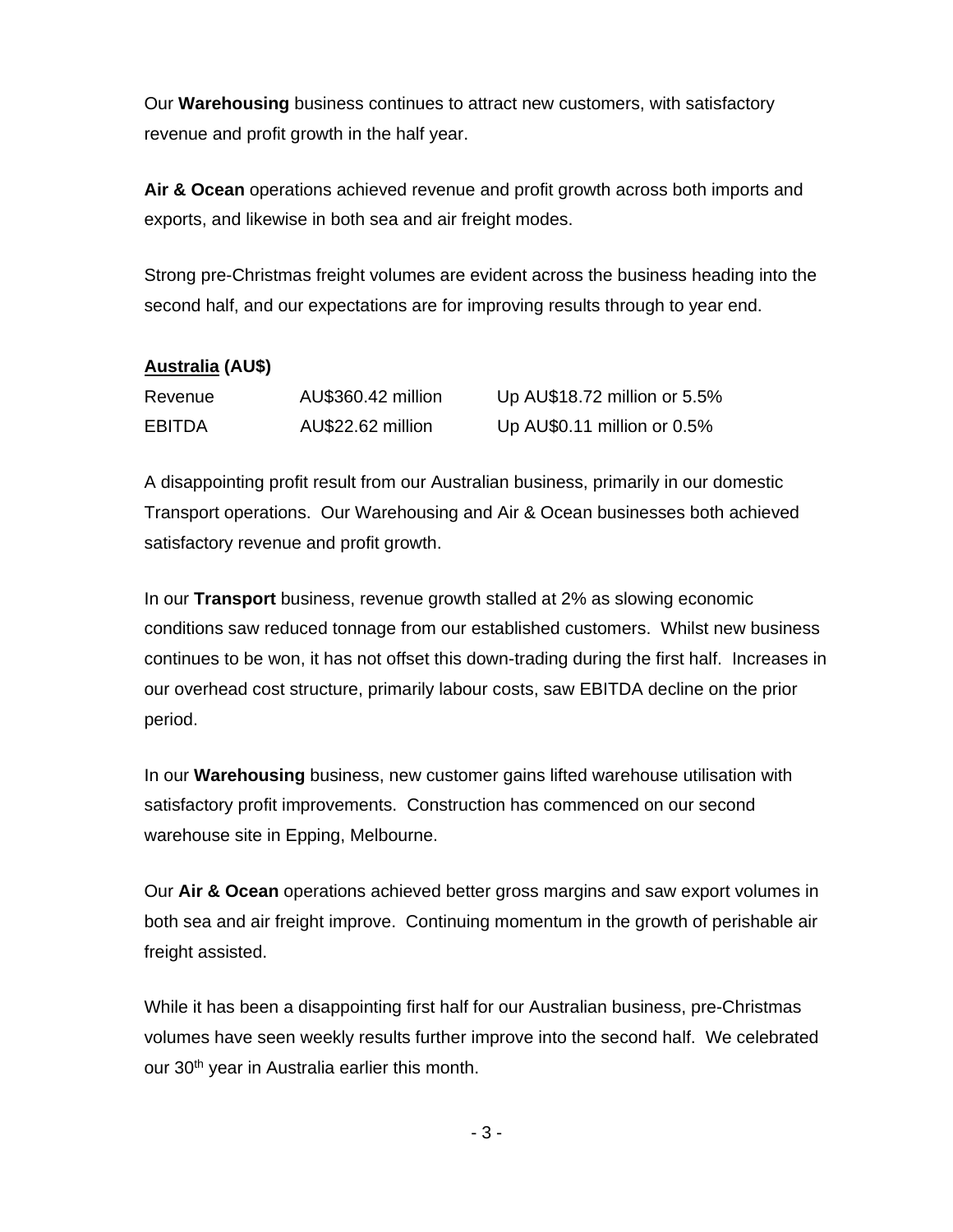Our **Warehousing** business continues to attract new customers, with satisfactory revenue and profit growth in the half year.

**Air & Ocean** operations achieved revenue and profit growth across both imports and exports, and likewise in both sea and air freight modes.

Strong pre-Christmas freight volumes are evident across the business heading into the second half, and our expectations are for improving results through to year end.

## **Australia (AU\$)**

| Revenue       | AU\$360.42 million | Up AU\$18.72 million or 5.5% |
|---------------|--------------------|------------------------------|
| <b>EBITDA</b> | AU\$22.62 million  | Up AU\$0.11 million or 0.5%  |

A disappointing profit result from our Australian business, primarily in our domestic Transport operations. Our Warehousing and Air & Ocean businesses both achieved satisfactory revenue and profit growth.

In our **Transport** business, revenue growth stalled at 2% as slowing economic conditions saw reduced tonnage from our established customers. Whilst new business continues to be won, it has not offset this down-trading during the first half. Increases in our overhead cost structure, primarily labour costs, saw EBITDA decline on the prior period.

In our **Warehousing** business, new customer gains lifted warehouse utilisation with satisfactory profit improvements. Construction has commenced on our second warehouse site in Epping, Melbourne.

Our **Air & Ocean** operations achieved better gross margins and saw export volumes in both sea and air freight improve. Continuing momentum in the growth of perishable air freight assisted.

While it has been a disappointing first half for our Australian business, pre-Christmas volumes have seen weekly results further improve into the second half. We celebrated our 30<sup>th</sup> year in Australia earlier this month.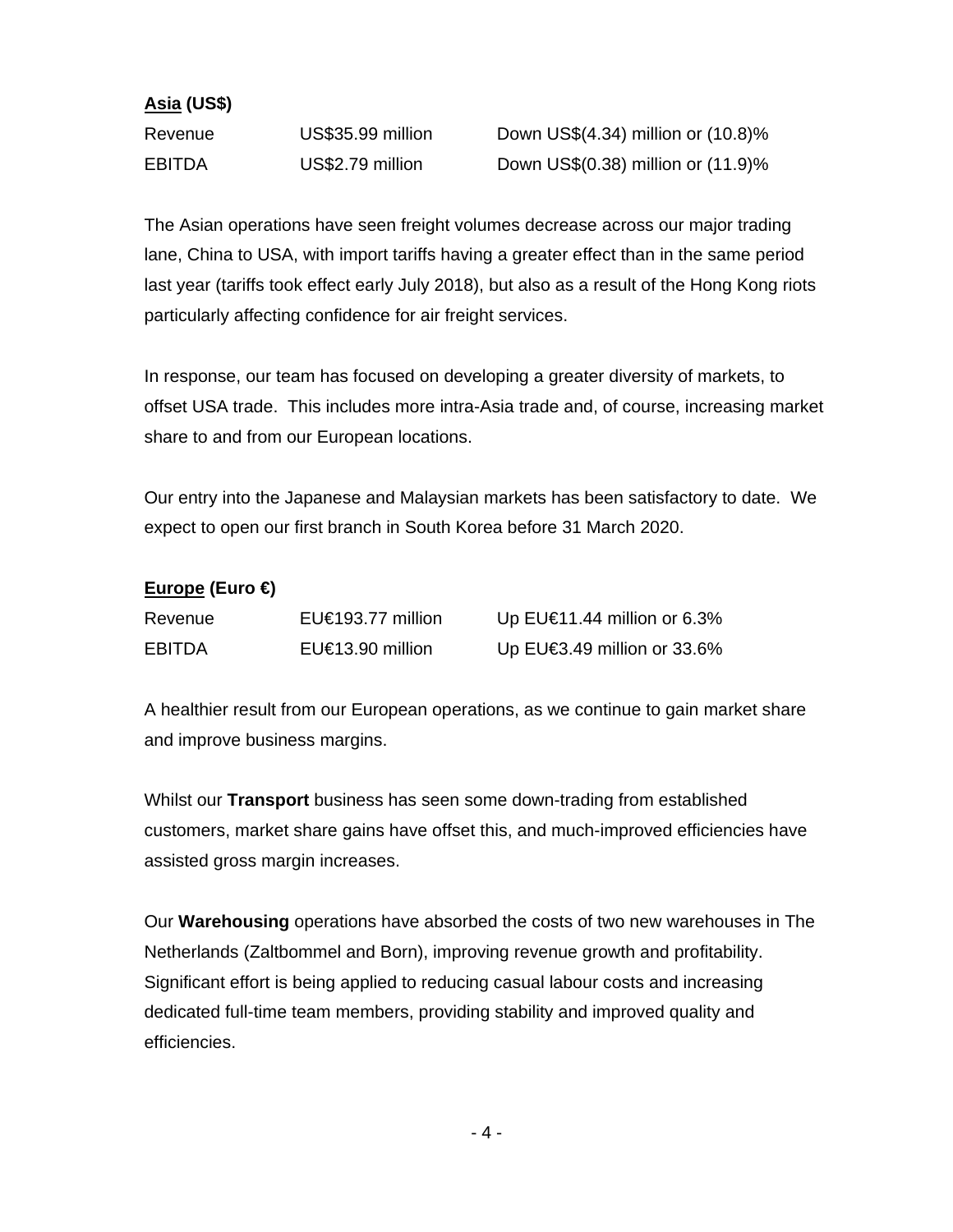### **Asia (US\$)**

| Revenue       | US\$35.99 million |
|---------------|-------------------|
| <b>EBITDA</b> | US\$2.79 million  |

Down US\$ $(4.34)$  million or  $(10.8)$ % Down US\$ $(0.38)$  million or  $(11.9)$ %

The Asian operations have seen freight volumes decrease across our major trading lane, China to USA, with import tariffs having a greater effect than in the same period last year (tariffs took effect early July 2018), but also as a result of the Hong Kong riots particularly affecting confidence for air freight services.

In response, our team has focused on developing a greater diversity of markets, to offset USA trade. This includes more intra-Asia trade and, of course, increasing market share to and from our European locations.

Our entry into the Japanese and Malaysian markets has been satisfactory to date. We expect to open our first branch in South Korea before 31 March 2020.

## **Europe (Euro €)**

| Revenue       | EU€193.77 million      | Up EU $\in$ 1.44 million or 6.3%  |
|---------------|------------------------|-----------------------------------|
| <b>EBITDA</b> | EU $\in$ 13.90 million | Up $EU \in 3.49$ million or 33.6% |

A healthier result from our European operations, as we continue to gain market share and improve business margins.

Whilst our **Transport** business has seen some down-trading from established customers, market share gains have offset this, and much-improved efficiencies have assisted gross margin increases.

Our **Warehousing** operations have absorbed the costs of two new warehouses in The Netherlands (Zaltbommel and Born), improving revenue growth and profitability. Significant effort is being applied to reducing casual labour costs and increasing dedicated full-time team members, providing stability and improved quality and efficiencies.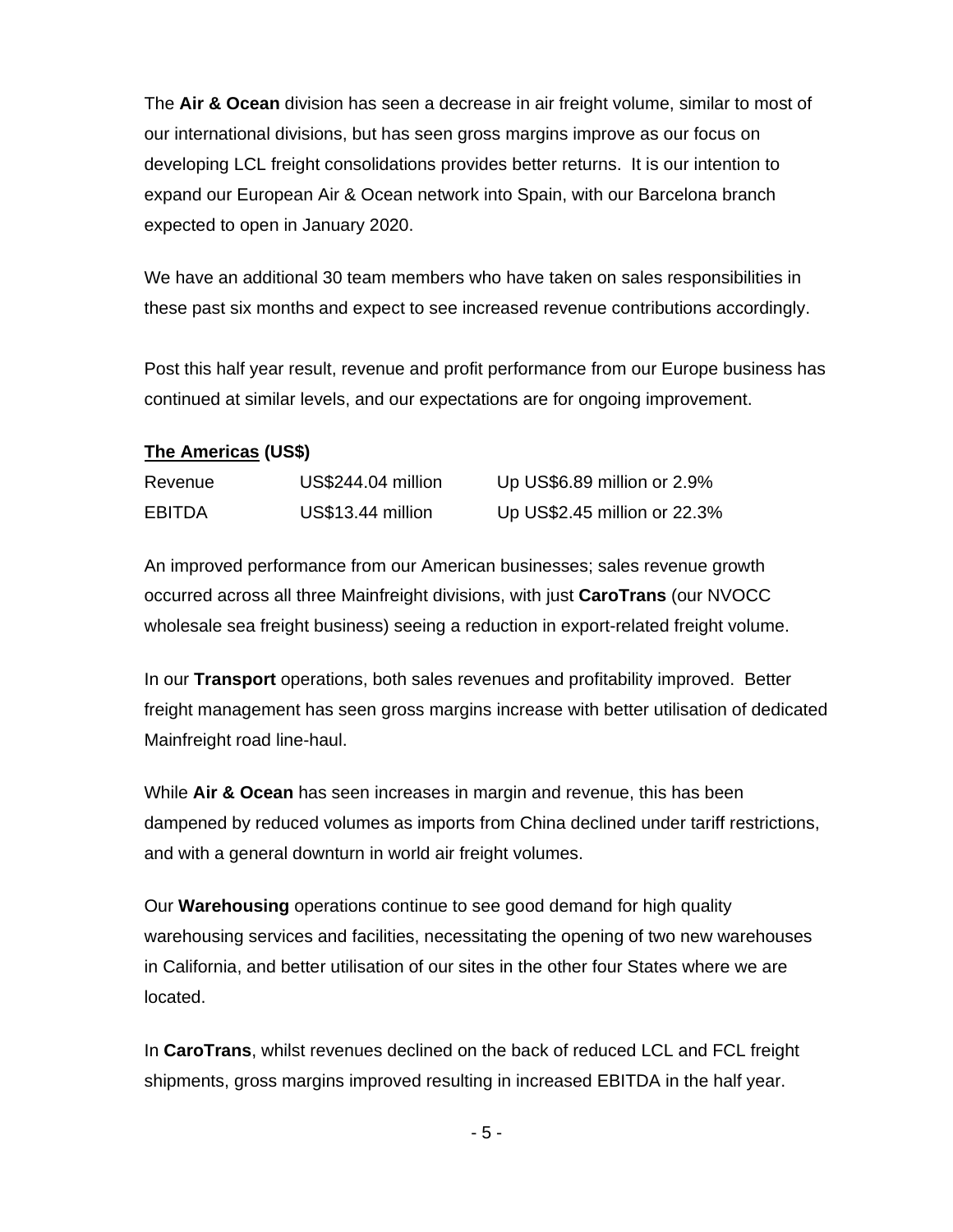The **Air & Ocean** division has seen a decrease in air freight volume, similar to most of our international divisions, but has seen gross margins improve as our focus on developing LCL freight consolidations provides better returns. It is our intention to expand our European Air & Ocean network into Spain, with our Barcelona branch expected to open in January 2020.

We have an additional 30 team members who have taken on sales responsibilities in these past six months and expect to see increased revenue contributions accordingly.

Post this half year result, revenue and profit performance from our Europe business has continued at similar levels, and our expectations are for ongoing improvement.

### **The Americas (US\$)**

| Revenue       | US\$244.04 million | Up US\$6.89 million or 2.9%  |
|---------------|--------------------|------------------------------|
| <b>EBITDA</b> | US\$13.44 million  | Up US\$2.45 million or 22.3% |

An improved performance from our American businesses; sales revenue growth occurred across all three Mainfreight divisions, with just **CaroTrans** (our NVOCC wholesale sea freight business) seeing a reduction in export-related freight volume.

In our **Transport** operations, both sales revenues and profitability improved. Better freight management has seen gross margins increase with better utilisation of dedicated Mainfreight road line-haul.

While **Air & Ocean** has seen increases in margin and revenue, this has been dampened by reduced volumes as imports from China declined under tariff restrictions, and with a general downturn in world air freight volumes.

Our **Warehousing** operations continue to see good demand for high quality warehousing services and facilities, necessitating the opening of two new warehouses in California, and better utilisation of our sites in the other four States where we are located.

In **CaroTrans**, whilst revenues declined on the back of reduced LCL and FCL freight shipments, gross margins improved resulting in increased EBITDA in the half year.

- 5 -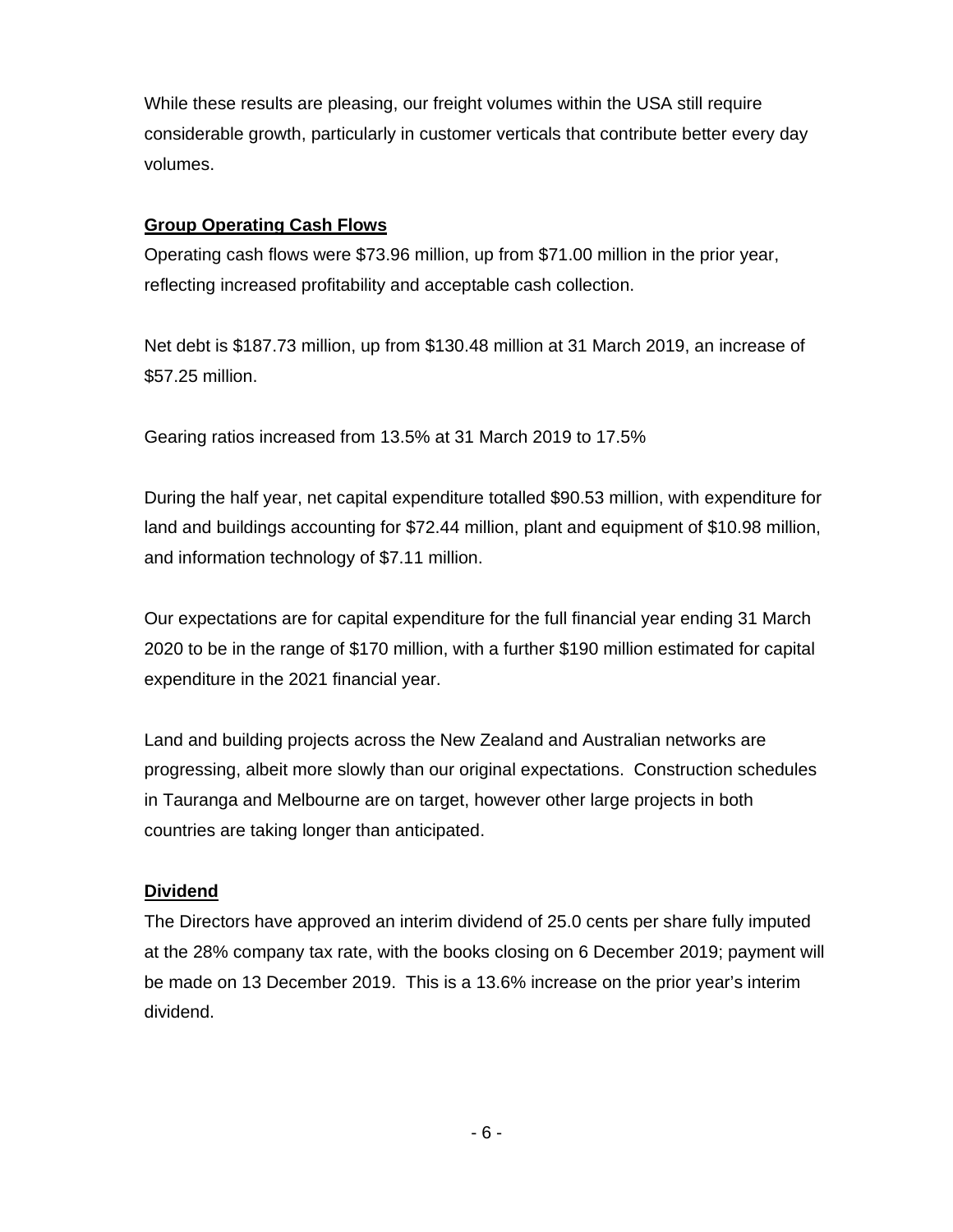While these results are pleasing, our freight volumes within the USA still require considerable growth, particularly in customer verticals that contribute better every day volumes.

### **Group Operating Cash Flows**

Operating cash flows were \$73.96 million, up from \$71.00 million in the prior year, reflecting increased profitability and acceptable cash collection.

Net debt is \$187.73 million, up from \$130.48 million at 31 March 2019, an increase of \$57.25 million.

Gearing ratios increased from 13.5% at 31 March 2019 to 17.5%

During the half year, net capital expenditure totalled \$90.53 million, with expenditure for land and buildings accounting for \$72.44 million, plant and equipment of \$10.98 million, and information technology of \$7.11 million.

Our expectations are for capital expenditure for the full financial year ending 31 March 2020 to be in the range of \$170 million, with a further \$190 million estimated for capital expenditure in the 2021 financial year.

Land and building projects across the New Zealand and Australian networks are progressing, albeit more slowly than our original expectations. Construction schedules in Tauranga and Melbourne are on target, however other large projects in both countries are taking longer than anticipated.

#### **Dividend**

The Directors have approved an interim dividend of 25.0 cents per share fully imputed at the 28% company tax rate, with the books closing on 6 December 2019; payment will be made on 13 December 2019. This is a 13.6% increase on the prior year's interim dividend.